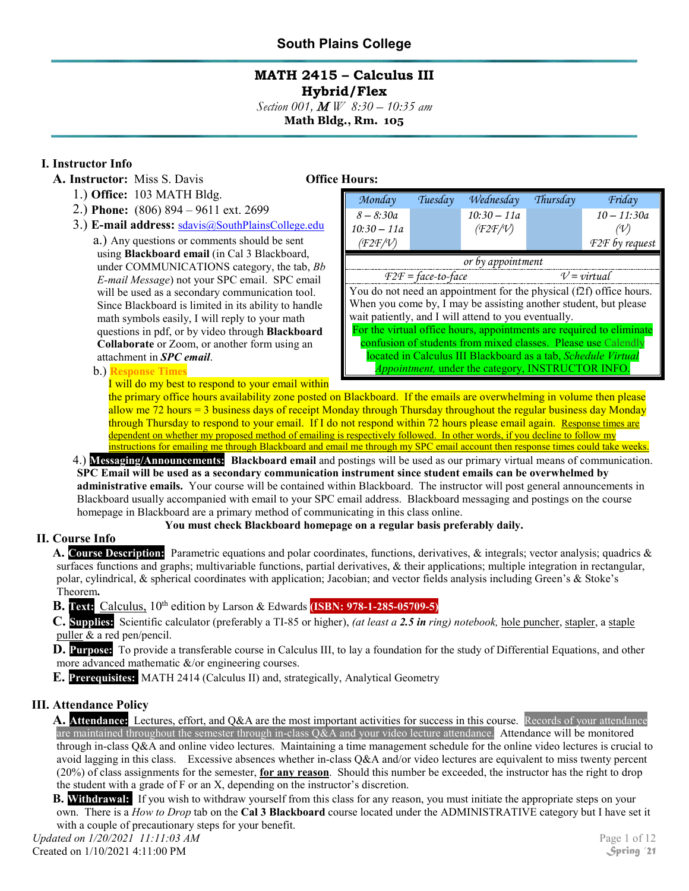## **MATH 2415 – Calculus III Hybrid/Flex**

*Section 001,* <sup>M</sup> *W 8:30 – 10:35 am*

**Math Bldg., Rm. 105**

## **I. Instructor Info**

- **A. Instructor:** Miss S. Davis **Office Hours:**
	- 1.) **Office:** 103 MATH Bldg.
	- 2.) **Phone:** (806) 894 9611 ext. 2699
	- 3.) **E-mail address:** [sdavis@SouthPlainsCollege.edu](mailto:sdavis@spc.cc.tx.us)

a.) Any questions or comments should be sent using **Blackboard email** (in Cal 3 Blackboard, under COMMUNICATIONS category, the tab, *Bb E-mail Message*) not your SPC email. SPC email will be used as a secondary communication tool. Since Blackboard is limited in its ability to handle math symbols easily, I will reply to your math questions in pdf, or by video through **Blackboard Collaborate** or Zoom, or another form using an attachment in *SPC email*.

b.) **Response Times**

| Monday                                                                                                                                                                                                                                                      | Tuesday | Wednesday     | Thursday | Friday         |  |
|-------------------------------------------------------------------------------------------------------------------------------------------------------------------------------------------------------------------------------------------------------------|---------|---------------|----------|----------------|--|
| $8 - 8:30a$                                                                                                                                                                                                                                                 |         | $10:30 - 11a$ |          | $10 - 11:30a$  |  |
| $10:30 - 11a$                                                                                                                                                                                                                                               |         | (F2F/V)       |          |                |  |
| (F2F/V)                                                                                                                                                                                                                                                     |         |               |          | F2F by request |  |
| or by appointment                                                                                                                                                                                                                                           |         |               |          |                |  |
| $V = virtual$<br>$F2F = face-to-face$                                                                                                                                                                                                                       |         |               |          |                |  |
| You do not need an appointment for the physical (f2f) office hours.<br>When you come by, I may be assisting another student, but please<br>wait patiently, and I will attend to you eventually.                                                             |         |               |          |                |  |
| For the virtual office hours, appointments are required to eliminate<br>confusion of students from mixed classes. Please use Calendly<br>located in Calculus III Blackboard as a tab, Schedule Virtual<br>Appointment, under the category, INSTRUCTOR INFO. |         |               |          |                |  |

I will do my best to respond to your email within

the primary office hours availability zone posted on Blackboard. If the emails are overwhelming in volume then please allow me 72 hours = 3 business days of receipt Monday through Thursday throughout the regular business day Monday through Thursday to respond to your email. If I do not respond within 72 hours please email again. Response times are dependent on whether my proposed method of emailing is respectively followed. In other words, if you decline to follow my instructions for emailing me through Blackboard and email me through my SPC email account then response times could take weeks.

4.) **Messaging/Announcements: Blackboard email** and postings will be used as our primary virtual means of communication. **SPC Email will be used as a secondary communication instrument since student emails can be overwhelmed by administrative emails.** Your course will be contained within Blackboard. The instructor will post general announcements in Blackboard usually accompanied with email to your SPC email address. Blackboard messaging and postings on the course homepage in Blackboard are a primary method of communicating in this class online.

### **You must check Blackboard homepage on a regular basis preferably daily.**

## **II. Course Info**

**A. Course Description:** Parametric equations and polar coordinates, functions, derivatives, & integrals; vector analysis; quadrics & surfaces functions and graphs; multivariable functions, partial derivatives, & their applications; multiple integration in rectangular, polar, cylindrical, & spherical coordinates with application; Jacobian; and vector fields analysis including Green's & Stoke's Theorem**.**

**B. Text:** Calculus, 10<sup>th</sup> edition by Larson & Edwards **(ISBN: 978-1-285-05709-5)** 

**C. Supplies:** Scientific calculator (preferably a TI-85 or higher), *(at least a 2.5 in ring) notebook,* hole puncher, stapler, a staple puller & a red pen/pencil.

**D. Purpose:** To provide a transferable course in Calculus III, to lay a foundation for the study of Differential Equations, and other more advanced mathematic &/or engineering courses.

**E. Prerequisites:** MATH 2414 (Calculus II) and, strategically, Analytical Geometry

## **III. Attendance Policy**

**A. Attendance:** Lectures, effort, and Q&A are the most important activities for success in this course. Records of your attendance are maintained throughout the semester through in-class  $Q&A$  and your video lecture attendance. Attendance will be monitored through in-class Q&A and online video lectures. Maintaining a time management schedule for the online video lectures is crucial to avoid lagging in this class. Excessive absences whether in-class Q&A and/or video lectures are equivalent to miss twenty percent (20%) of class assignments for the semester, **for any reason**. Should this number be exceeded, the instructor has the right to drop the student with a grade of F or an X, depending on the instructor's discretion.

**B. Withdrawal:** If you wish to withdraw yourself from this class for any reason, you must initiate the appropriate steps on your own. There is a *How to Drop* tab on the **Cal 3 Blackboard** course located under the ADMINISTRATIVE category but I have set it with a couple of precautionary steps for your benefit.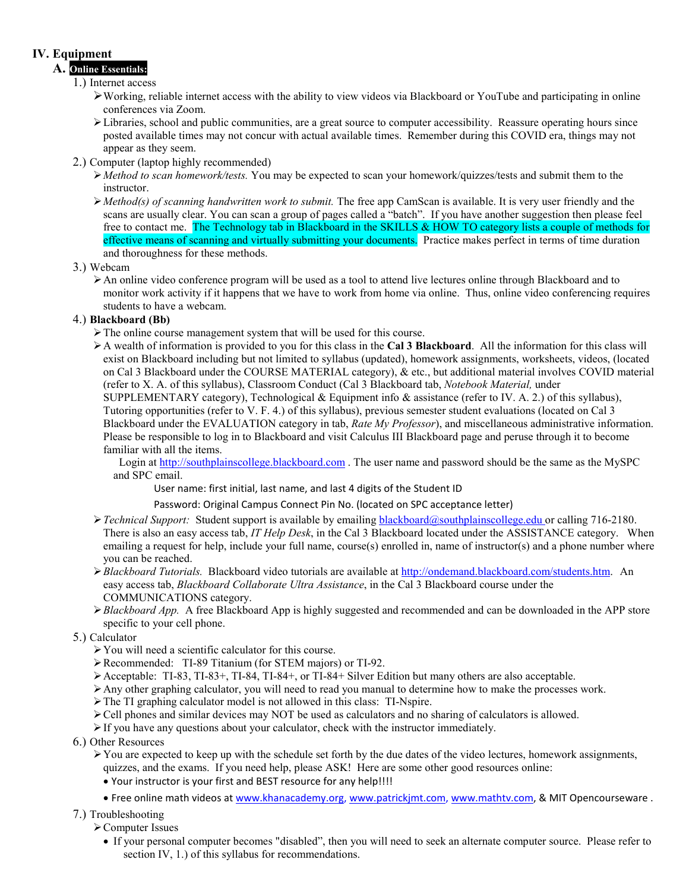## **IV. Equipment**

#### **A. Online Essentials:**

#### 1.) Internet access

- Working, reliable internet access with the ability to view videos via Blackboard or YouTube and participating in online conferences via Zoom.
- $\triangleright$  Libraries, school and public communities, are a great source to computer accessibility. Reassure operating hours since posted available times may not concur with actual available times. Remember during this COVID era, things may not appear as they seem.
- 2.) Computer (laptop highly recommended)
	- *Method to scan homework/tests.* You may be expected to scan your homework/quizzes/tests and submit them to the instructor.
	- *Method(s) of scanning handwritten work to submit.* The free app CamScan is available. It is very user friendly and the scans are usually clear. You can scan a group of pages called a "batch". If you have another suggestion then please feel free to contact me. The Technology tab in Blackboard in the SKILLS & HOW TO category lists a couple of methods for effective means of scanning and virtually submitting your documents. Practice makes perfect in terms of time duration and thoroughness for these methods.

#### 3.) Webcam

An online video conference program will be used as a tool to attend live lectures online through Blackboard and to monitor work activity if it happens that we have to work from home via online. Thus, online video conferencing requires students to have a webcam.

#### 4.) **Blackboard (Bb)**

- The online course management system that will be used for this course.
- A wealth of information is provided to you for this class in the **Cal 3 Blackboard**. All the information for this class will exist on Blackboard including but not limited to syllabus (updated), homework assignments, worksheets, videos, (located on Cal 3 Blackboard under the COURSE MATERIAL category), & etc., but additional material involves COVID material (refer to X. A. of this syllabus), Classroom Conduct (Cal 3 Blackboard tab, *Notebook Material,* under SUPPLEMENTARY category), Technological & Equipment info & assistance (refer to IV. A. 2.) of this syllabus),

Tutoring opportunities (refer to V. F. 4.) of this syllabus), previous semester student evaluations (located on Cal 3 Blackboard under the EVALUATION category in tab, *Rate My Professor*), and miscellaneous administrative information. Please be responsible to log in to Blackboard and visit Calculus III Blackboard page and peruse through it to become familiar with all the items.

Login at [http://southplainscollege.blackboard.com](http://southplainscollege.blackboard.com/). The user name and password should be the same as the MySPC and SPC email.

User name: first initial, last name, and last 4 digits of the Student ID

Password: Original Campus Connect Pin No. (located on SPC acceptance letter)

- *Technical Support:* Student support is available by emailing [blackboard@southplainscollege.edu](mailto:blackboard@southplainscollege.edu) or calling 716-2180. There is also an easy access tab, *IT Help Desk*, in the Cal 3 Blackboard located under the ASSISTANCE category. When emailing a request for help, include your full name, course(s) enrolled in, name of instructor(s) and a phone number where you can be reached.
- *Blackboard Tutorials.* Blackboard video tutorials are available a[t http://ondemand.blackboard.com/students.htm.](http://ondemand.blackboard.com/students.htm) An easy access tab, *Blackboard Collaborate Ultra Assistance*, in the Cal 3 Blackboard course under the COMMUNICATIONS category.
- *Blackboard App.* A free Blackboard App is highly suggested and recommended and can be downloaded in the APP store specific to your cell phone.
- 5.) Calculator
	- You will need a scientific calculator for this course.
	- Recommended: TI-89 Titanium (for STEM majors) or TI-92.
	- $\blacktriangleright$  Acceptable: TI-83, TI-83+, TI-84, TI-84+, or TI-84+ Silver Edition but many others are also acceptable.
	- Any other graphing calculator, you will need to read you manual to determine how to make the processes work.
	- The TI graphing calculator model is not allowed in this class: TI-Nspire.
	- Cell phones and similar devices may NOT be used as calculators and no sharing of calculators is allowed.
	- $\triangleright$  If you have any questions about your calculator, check with the instructor immediately.
- 6.) Other Resources
	- $\triangleright$  You are expected to keep up with the schedule set forth by the due dates of the video lectures, homework assignments, quizzes, and the exams. If you need help, please ASK! Here are some other good resources online:
		- Your instructor is your first and BEST resource for any help!!!!
		- Free online math videos a[t www.khanacademy.org,](http://www.khanacademy.org/) [www.patrickjmt.com,](http://www.patrickjmt.com/) [www.mathtv.com,](http://www.mathtv.com/) & MIT Opencourseware .
- 7.) Troubleshooting
	- Computer Issues
		- If your personal computer becomes "disabled", then you will need to seek an alternate computer source. Please refer to section IV, 1.) of this syllabus for recommendations.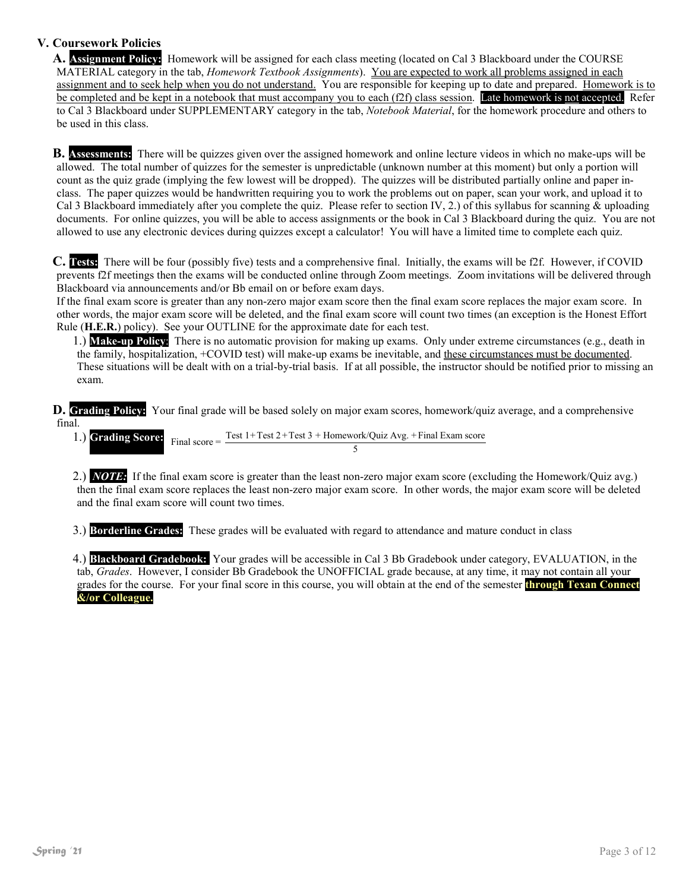## **V. Coursework Policies**

**A. Assignment Policy:** Homework will be assigned for each class meeting (located on Cal 3 Blackboard under the COURSE MATERIAL category in the tab, *Homework Textbook Assignments*). You are expected to work all problems assigned in each assignment and to seek help when you do not understand. You are responsible for keeping up to date and prepared. Homework is to be completed and be kept in a notebook that must accompany you to each (f2f) class session. Late homework is not accepted. Refer to Cal 3 Blackboard under SUPPLEMENTARY category in the tab, *Notebook Material*, for the homework procedure and others to be used in this class.

**B. Assessments:** There will be quizzes given over the assigned homework and online lecture videos in which no make-ups will be allowed. The total number of quizzes for the semester is unpredictable (unknown number at this moment) but only a portion will count as the quiz grade (implying the few lowest will be dropped). The quizzes will be distributed partially online and paper inclass. The paper quizzes would be handwritten requiring you to work the problems out on paper, scan your work, and upload it to Cal 3 Blackboard immediately after you complete the quiz. Please refer to section IV, 2.) of this syllabus for scanning & uploading documents. For online quizzes, you will be able to access assignments or the book in Cal 3 Blackboard during the quiz. You are not allowed to use any electronic devices during quizzes except a calculator! You will have a limited time to complete each quiz.

**C. Tests:** There will be four (possibly five) tests and a comprehensive final. Initially, the exams will be f2f. However, if COVID prevents f2f meetings then the exams will be conducted online through Zoom meetings. Zoom invitations will be delivered through Blackboard via announcements and/or Bb email on or before exam days.

If the final exam score is greater than any non-zero major exam score then the final exam score replaces the major exam score. In other words, the major exam score will be deleted, and the final exam score will count two times (an exception is the Honest Effort Rule (**H.E.R.**) policy). See your OUTLINE for the approximate date for each test.

1.) **Make-up Policy**: There is no automatic provision for making up exams. Only under extreme circumstances (e.g., death in the family, hospitalization, +COVID test) will make-up exams be inevitable, and these circumstances must be documented. These situations will be dealt with on a trial-by-trial basis. If at all possible, the instructor should be notified prior to missing an exam.

**D. Grading Policy:** Your final grade will be based solely on major exam scores, homework/quiz average, and a comprehensive final.

1.) **Grading Score:** Final score =  $\frac{\text{Test 1+Test 2+Test 3 + Homework/Quiz Avg. + Final Exam score}}{5}$ 

2.) *NOTE:* If the final exam score is greater than the least non-zero major exam score (excluding the Homework/Quiz avg.) then the final exam score replaces the least non-zero major exam score. In other words, the major exam score will be deleted and the final exam score will count two times.

3.) **Borderline Grades:** These grades will be evaluated with regard to attendance and mature conduct in class

4.) **Blackboard Gradebook:** Your grades will be accessible in Cal 3 Bb Gradebook under category, EVALUATION, in the tab, *Grades*. However, I consider Bb Gradebook the UNOFFICIAL grade because, at any time, it may not contain all your grades for the course. For your final score in this course, you will obtain at the end of the semester **through Texan Connect &/or Colleague.**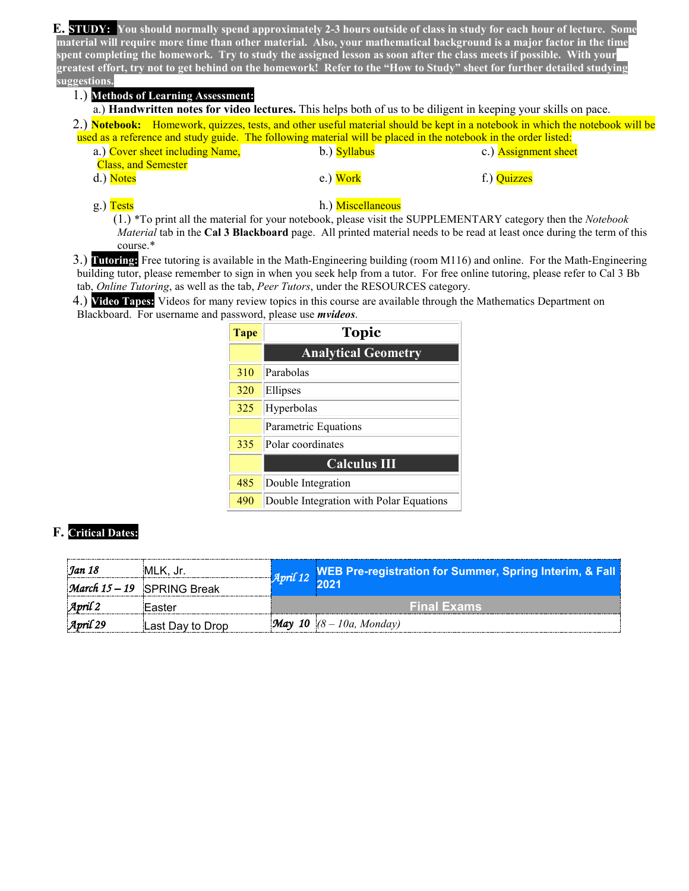**E. STUDY: You should normally spend approximately 2-3 hours outside of class in study for each hour of lecture. Some material will require more time than other material. Also, your mathematical background is a major factor in the time spent completing the homework. Try to study the assigned lesson as soon after the class meets if possible. With your greatest effort, try not to get behind on the homework! Refer to the "How to Study" sheet for further detailed studying suggestions.**

#### 1.) **Methods of Learning Assessment:**

a.) **Handwritten notes for video lectures.** This helps both of us to be diligent in keeping your skills on pace. 2.) **Notebook:** Homework, quizzes, tests, and other useful material should be kept in a notebook in which the notebook will be used as a reference and study guide. The following material will be placed in the notebook in the order listed:

- a.) Cover sheet including Name, b.) Syllabus c.) Assignment sheet
	- Class, and Semester
- d.) Notes e.) Work f.) Quizzes
- 

#### g.) Tests h.) Miscellaneous

(1.) \*To print all the material for your notebook, please visit the SUPPLEMENTARY category then the *Notebook Material* tab in the **Cal 3 Blackboard** page. All printed material needs to be read at least once during the term of this course.\*

3.) **Tutoring:** Free tutoring is available in the Math-Engineering building (room M116) and online. For the Math-Engineering building tutor, please remember to sign in when you seek help from a tutor. For free online tutoring, please refer to Cal 3 Bb tab, *Online Tutoring*, as well as the tab, *Peer Tutors*, under the RESOURCES category.

4.) **Video Tapes:** Videos for many review topics in this course are available through the Mathematics Department on Blackboard. For username and password, please use *mvideos*.

| Tape | <b>Topic</b>                            |
|------|-----------------------------------------|
|      | <b>Analytical Geometry</b>              |
| 310  | Parabolas                               |
| 320  | Ellipses                                |
| 325  | Hyperbolas                              |
|      | Parametric Equations                    |
| 335  | Polar coordinates                       |
|      | <b>Calculus III</b>                     |
| 485  | Double Integration                      |
| 490  | Double Integration with Polar Equations |

#### **F. Critical Dates:**

| Jan 18                | :MLK. Jr                            | April 12 WEB Pre-registration for Summer, Spring Interim, & Fall |  |
|-----------------------|-------------------------------------|------------------------------------------------------------------|--|
|                       | <i>March</i> $15 - 19$ SPRING Break | ווכחל                                                            |  |
| $\mathcal{A}$ pril 2  | :Easter                             | <b>Final Exams</b>                                               |  |
| $\mathcal{A}$ pril 29 | Last Day to Drop                    | $ \mathcal{M}ay $ 10 $(8 - 10a, Monday)$                         |  |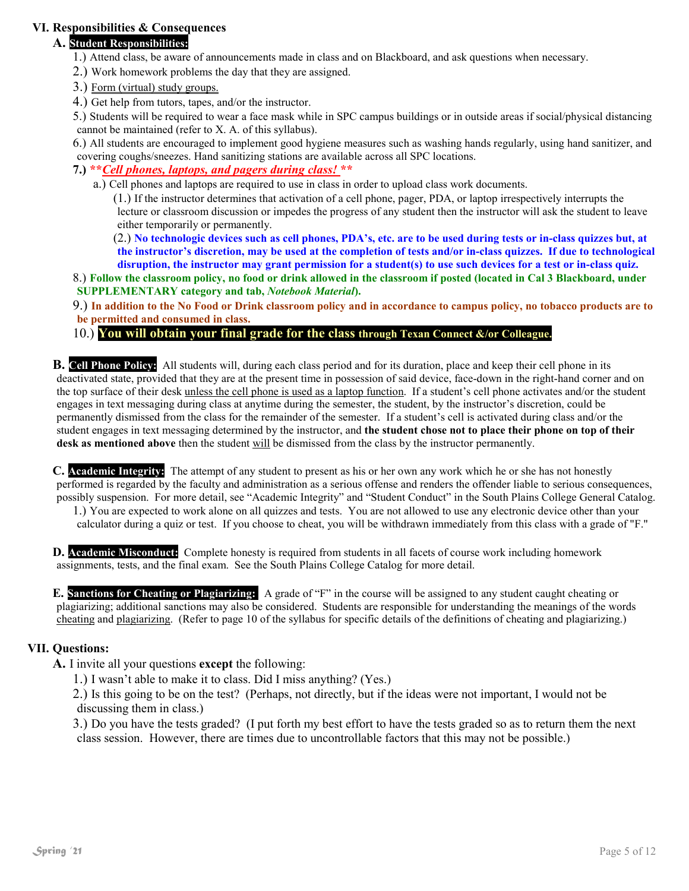### **VI. Responsibilities & Consequences**

## **A. Student Responsibilities:**

- 1.) Attend class, be aware of announcements made in class and on Blackboard, and ask questions when necessary.
- 2.) Work homework problems the day that they are assigned.
- 3.) Form (virtual) study groups.
- 4.) Get help from tutors, tapes, and/or the instructor.
- 5.) Students will be required to wear a face mask while in SPC campus buildings or in outside areas if social/physical distancing cannot be maintained (refer to X. A. of this syllabus).

6.) All students are encouraged to implement good hygiene measures such as washing hands regularly, using hand sanitizer, and covering coughs/sneezes. Hand sanitizing stations are available across all SPC locations.

#### **7.) \*\****Cell phones, laptops, and pagers during class!* **\*\***

a.) Cell phones and laptops are required to use in class in order to upload class work documents.

(1.) If the instructor determines that activation of a cell phone, pager, PDA, or laptop irrespectively interrupts the lecture or classroom discussion or impedes the progress of any student then the instructor will ask the student to leave either temporarily or permanently.

(2.) **No technologic devices such as cell phones, PDA's, etc. are to be used during tests or in-class quizzes but, at the instructor's discretion, may be used at the completion of tests and/or in-class quizzes. If due to technological disruption, the instructor may grant permission for a student(s) to use such devices for a test or in-class quiz.** 

8.) **Follow the classroom policy, no food or drink allowed in the classroom if posted (located in Cal 3 Blackboard, under SUPPLEMENTARY category and tab,** *Notebook Material***).**

9.) **In addition to the No Food or Drink classroom policy and in accordance to campus policy, no tobacco products are to be permitted and consumed in class.** 

#### 10.) **You will obtain your final grade for the class through Texan Connect &/or Colleague.**

**B. Cell Phone Policy:** All students will, during each class period and for its duration, place and keep their cell phone in its deactivated state, provided that they are at the present time in possession of said device, face-down in the right-hand corner and on the top surface of their desk unless the cell phone is used as a laptop function. If a student's cell phone activates and/or the student engages in text messaging during class at anytime during the semester, the student, by the instructor's discretion, could be permanently dismissed from the class for the remainder of the semester. If a student's cell is activated during class and/or the student engages in text messaging determined by the instructor, and **the student chose not to place their phone on top of their desk as mentioned above** then the student will be dismissed from the class by the instructor permanently.

**C. Academic Integrity:** The attempt of any student to present as his or her own any work which he or she has not honestly performed is regarded by the faculty and administration as a serious offense and renders the offender liable to serious consequences, possibly suspension. For more detail, see "Academic Integrity" and "Student Conduct" in the South Plains College General Catalog.

1.) You are expected to work alone on all quizzes and tests. You are not allowed to use any electronic device other than your calculator during a quiz or test. If you choose to cheat, you will be withdrawn immediately from this class with a grade of "F."

**D. Academic Misconduct:** Complete honesty is required from students in all facets of course work including homework assignments, tests, and the final exam. See the South Plains College Catalog for more detail.

**E. Sanctions for Cheating or Plagiarizing:** A grade of "F" in the course will be assigned to any student caught cheating or plagiarizing; additional sanctions may also be considered. Students are responsible for understanding the meanings of the words cheating and plagiarizing. (Refer to page 10 of the syllabus for specific details of the definitions of cheating and plagiarizing.)

#### **VII. Questions:**

- **A.** I invite all your questions **except** the following:
	- 1.) I wasn't able to make it to class. Did I miss anything? (Yes.)

2.) Is this going to be on the test? (Perhaps, not directly, but if the ideas were not important, I would not be discussing them in class.)

3.) Do you have the tests graded? (I put forth my best effort to have the tests graded so as to return them the next class session. However, there are times due to uncontrollable factors that this may not be possible.)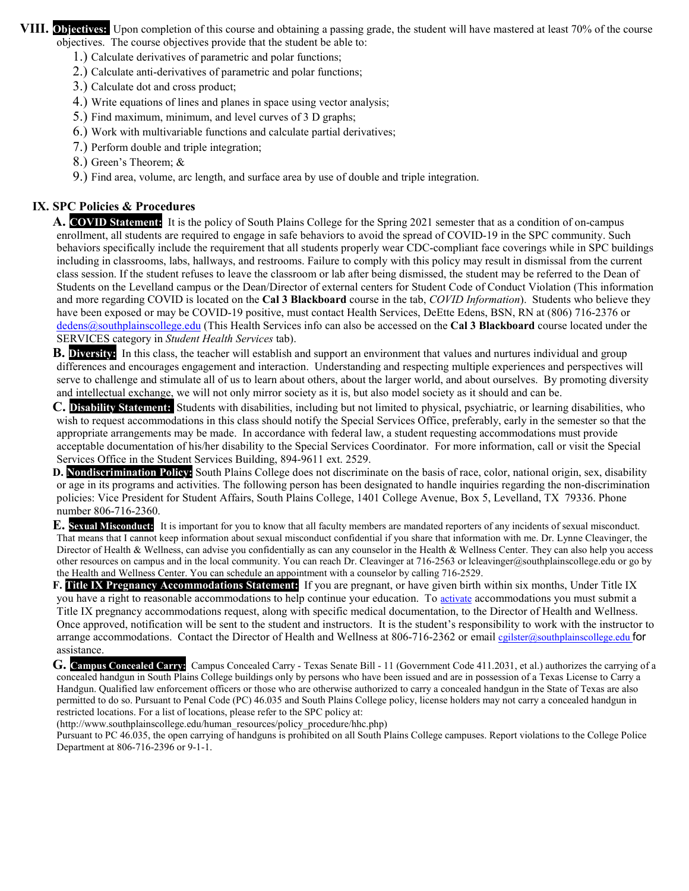**VIII. Objectives:** Upon completion of this course and obtaining a passing grade, the student will have mastered at least 70% of the course objectives. The course objectives provide that the student be able to:

- 1.) Calculate derivatives of parametric and polar functions;
- 2.) Calculate anti-derivatives of parametric and polar functions;
- 3.) Calculate dot and cross product;
- 4.) Write equations of lines and planes in space using vector analysis;
- 5.) Find maximum, minimum, and level curves of 3 D graphs;
- 6.) Work with multivariable functions and calculate partial derivatives;
- 7.) Perform double and triple integration;
- 8.) Green's Theorem; &
- 9.) Find area, volume, arc length, and surface area by use of double and triple integration.

#### **IX. SPC Policies & Procedures**

**A. COVID Statement:** It is the policy of South Plains College for the Spring 2021 semester that as a condition of on-campus enrollment, all students are required to engage in safe behaviors to avoid the spread of COVID-19 in the SPC community. Such behaviors specifically include the requirement that all students properly wear CDC-compliant face coverings while in SPC buildings including in classrooms, labs, hallways, and restrooms. Failure to comply with this policy may result in dismissal from the current class session. If the student refuses to leave the classroom or lab after being dismissed, the student may be referred to the Dean of Students on the Levelland campus or the Dean/Director of external centers for Student Code of Conduct Violation (This information and more regarding COVID is located on the **Cal 3 Blackboard** course in the tab, *COVID Information*). Students who believe they have been exposed or may be COVID-19 positive, must contact Health Services, DeEtte Edens, BSN, RN at (806) 716-2376 or [dedens@southplainscollege.edu](mailto:dedens@southplainscollege.edu) (This Health Services info can also be accessed on the **Cal 3 Blackboard** course located under the SERVICES category in *Student Health Services* tab).

**B. Diversity:** In this class, the teacher will establish and support an environment that values and nurtures individual and group differences and encourages engagement and interaction. Understanding and respecting multiple experiences and perspectives will serve to challenge and stimulate all of us to learn about others, about the larger world, and about ourselves. By promoting diversity and intellectual exchange, we will not only mirror society as it is, but also model society as it should and can be.

**C. Disability Statement:** Students with disabilities, including but not limited to physical, psychiatric, or learning disabilities, who wish to request accommodations in this class should notify the Special Services Office, preferably, early in the semester so that the appropriate arrangements may be made. In accordance with federal law, a student requesting accommodations must provide acceptable documentation of his/her disability to the Special Services Coordinator. For more information, call or visit the Special Services Office in the Student Services Building, 894-9611 ext. 2529.

**D. Nondiscrimination Policy:** South Plains College does not discriminate on the basis of race, color, national origin, sex, disability or age in its programs and activities. The following person has been designated to handle inquiries regarding the non-discrimination policies: Vice President for Student Affairs, South Plains College, 1401 College Avenue, Box 5, Levelland, TX 79336. Phone number 806-716-2360.

**E. Sexual Misconduct:** It is important for you to know that all faculty members are mandated reporters of any incidents of sexual misconduct. That means that I cannot keep information about sexual misconduct confidential if you share that information with me. Dr. Lynne Cleavinger, the Director of Health & Wellness, can advise you confidentially as can any counselor in the Health & Wellness Center. They can also help you access other resources on campus and in the local community. You can reach Dr. Cleavinger at 716-2563 o[r lcleavinger@southplainscollege.edu](mailto:lcleavinger@southplainscollege.edu) or go by the Health and Wellness Center. You can schedule an appointment with a counselor by calling 716-2529.

**F. Title IX Pregnancy Accommodations Statement:** If you are pregnant, or have given birth within six months, Under Title IX you have a right to reasonable accommodations to help continue your education. To [activate](http://www.southplainscollege.edu/employees/manualshandbooks/facultyhandbook/sec4.php) accommodations you must submit a Title IX pregnancy accommodations request, along with specific medical documentation, to the Director of Health and Wellness. Once approved, notification will be sent to the student and instructors. It is the student's responsibility to work with the instructor to arrange accommodations. Contact the Director of Health and Wellness at 806-716-2362 or [email](http://www.southplainscollege.edu/employees/manualshandbooks/facultyhandbook/sec4.php) egilster@southplainscollege.edu for assistance.

**G. Campus Concealed Carry:** Campus Concealed Carry - Texas Senate Bill - 11 (Government Code 411.2031, et al.) authorizes the carrying of a concealed handgun in South Plains College buildings only by persons who have been issued and are in possession of a Texas License to Carry a Handgun. Qualified law enforcement officers or those who are otherwise authorized to carry a concealed handgun in the State of Texas are also permitted to do so. Pursuant to Penal Code (PC) 46.035 and South Plains College policy, license holders may not carry a concealed handgun in restricted locations. For a list of locations, please refer to the SPC policy at:

[\(http://www.southplainscollege.edu/human\\_resources/policy\\_procedure/hhc.php\)](http://www.southplainscollege.edu/human_resources/policy_procedure/hhc.php)

Pursuant to PC 46.035, the open carrying of handguns is prohibited on all South Plains College campuses. Report violations to the College Police Department at 806-716-2396 or 9-1-1.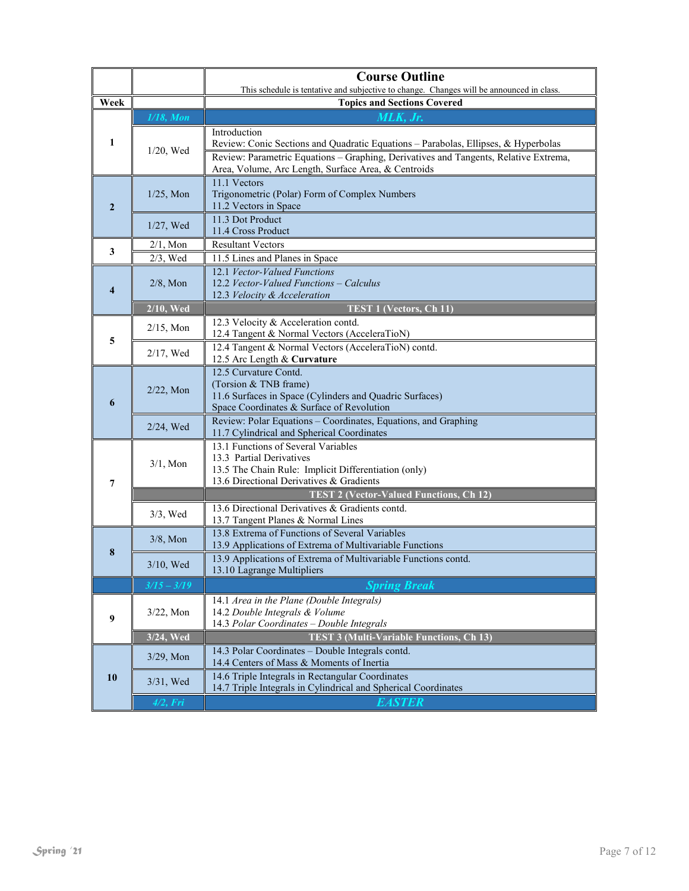|                  |               | <b>Course Outline</b>                                                                                                                                                                                                                             |  |  |  |
|------------------|---------------|---------------------------------------------------------------------------------------------------------------------------------------------------------------------------------------------------------------------------------------------------|--|--|--|
| Week             |               | This schedule is tentative and subjective to change. Changes will be announced in class.<br><b>Topics and Sections Covered</b>                                                                                                                    |  |  |  |
|                  | $1/18$ , Mon  | MLK, Jr.                                                                                                                                                                                                                                          |  |  |  |
| 1                | $1/20$ , Wed  | Introduction<br>Review: Conic Sections and Quadratic Equations - Parabolas, Ellipses, & Hyperbolas<br>Review: Parametric Equations - Graphing, Derivatives and Tangents, Relative Extrema,<br>Area, Volume, Arc Length, Surface Area, & Centroids |  |  |  |
| $\boldsymbol{2}$ | $1/25$ , Mon  | 11.1 Vectors<br>Trigonometric (Polar) Form of Complex Numbers<br>11.2 Vectors in Space                                                                                                                                                            |  |  |  |
|                  | 1/27, Wed     | 11.3 Dot Product<br>11.4 Cross Product                                                                                                                                                                                                            |  |  |  |
| 3                | $2/1$ , Mon   | <b>Resultant Vectors</b>                                                                                                                                                                                                                          |  |  |  |
|                  | $2/3$ , Wed   | 11.5 Lines and Planes in Space                                                                                                                                                                                                                    |  |  |  |
| 4                | $2/8$ , Mon   | 12.1 Vector-Valued Functions<br>12.2 Vector-Valued Functions - Calculus<br>12.3 Velocity & Acceleration                                                                                                                                           |  |  |  |
|                  | $2/10$ , Wed  | <b>TEST 1 (Vectors, Ch 11)</b>                                                                                                                                                                                                                    |  |  |  |
| 5                | $2/15$ , Mon  | 12.3 Velocity & Acceleration contd.<br>12.4 Tangent & Normal Vectors (AcceleraTioN)                                                                                                                                                               |  |  |  |
|                  | $2/17$ , Wed  | 12.4 Tangent & Normal Vectors (AcceleraTioN) contd.<br>12.5 Arc Length & Curvature                                                                                                                                                                |  |  |  |
| 6                | $2/22$ , Mon  | 12.5 Curvature Contd.<br>(Torsion & TNB frame)<br>11.6 Surfaces in Space (Cylinders and Quadric Surfaces)<br>Space Coordinates & Surface of Revolution                                                                                            |  |  |  |
|                  | $2/24$ , Wed  | Review: Polar Equations - Coordinates, Equations, and Graphing<br>11.7 Cylindrical and Spherical Coordinates                                                                                                                                      |  |  |  |
| 7                | $3/1$ , Mon   | 13.1 Functions of Several Variables<br>13.3 Partial Derivatives<br>13.5 The Chain Rule: Implicit Differentiation (only)<br>13.6 Directional Derivatives & Gradients                                                                               |  |  |  |
|                  |               | <b>TEST 2 (Vector-Valued Functions, Ch 12)</b>                                                                                                                                                                                                    |  |  |  |
|                  | $3/3$ , Wed   | 13.6 Directional Derivatives & Gradients contd.<br>13.7 Tangent Planes & Normal Lines                                                                                                                                                             |  |  |  |
| 8                | $3/8$ , Mon   | 13.8 Extrema of Functions of Several Variables<br>13.9 Applications of Extrema of Multivariable Functions                                                                                                                                         |  |  |  |
|                  | $3/10$ , Wed  | 13.9 Applications of Extrema of Multivariable Functions contd.<br>13.10 Lagrange Multipliers                                                                                                                                                      |  |  |  |
|                  | $3/15 - 3/19$ | <b>Spring Break</b>                                                                                                                                                                                                                               |  |  |  |
| 9                | 3/22, Mon     | 14.1 Area in the Plane (Double Integrals)<br>14.2 Double Integrals & Volume<br>14.3 Polar Coordinates - Double Integrals                                                                                                                          |  |  |  |
|                  | $3/24$ , Wed  | <b>TEST 3 (Multi-Variable Functions, Ch 13)</b>                                                                                                                                                                                                   |  |  |  |
|                  | $3/29$ , Mon  | 14.3 Polar Coordinates - Double Integrals contd.<br>14.4 Centers of Mass & Moments of Inertia                                                                                                                                                     |  |  |  |
| 10               | 3/31, Wed     | 14.6 Triple Integrals in Rectangular Coordinates<br>14.7 Triple Integrals in Cylindrical and Spherical Coordinates                                                                                                                                |  |  |  |
|                  | $4/2$ , Fri   | EASTER                                                                                                                                                                                                                                            |  |  |  |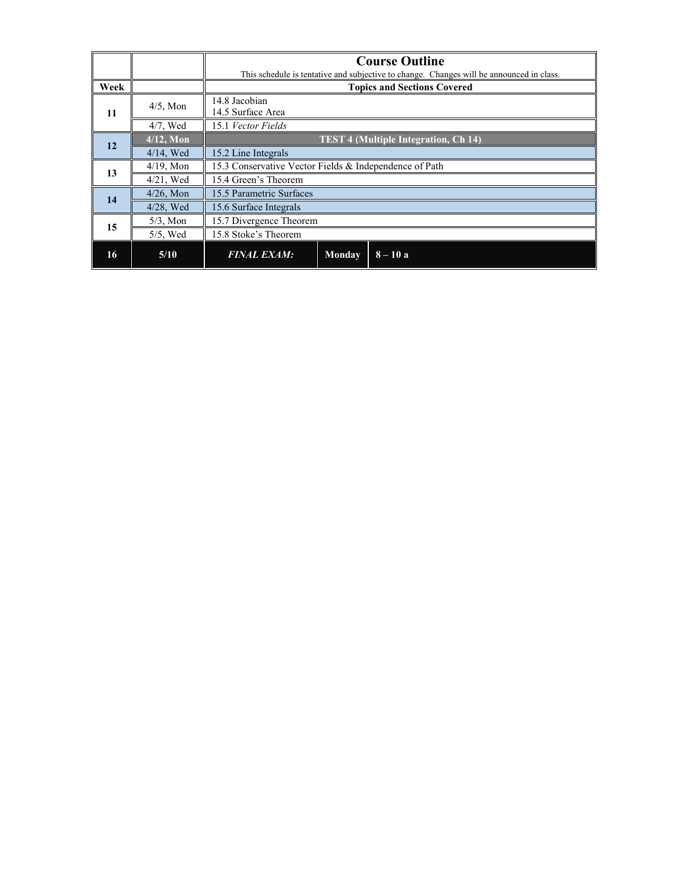|      |              | <b>Course Outline</b>                                                                    |  |  |  |  |
|------|--------------|------------------------------------------------------------------------------------------|--|--|--|--|
|      |              | This schedule is tentative and subjective to change. Changes will be announced in class. |  |  |  |  |
| Week |              | <b>Topics and Sections Covered</b>                                                       |  |  |  |  |
| 11   | $4/5$ , Mon  | 14.8 Jacobian                                                                            |  |  |  |  |
|      |              | 14.5 Surface Area                                                                        |  |  |  |  |
|      | $4/7$ , Wed  | 15.1 Vector Fields                                                                       |  |  |  |  |
| 12   | $4/12$ , Mon | <b>TEST 4 (Multiple Integration, Ch 14)</b>                                              |  |  |  |  |
|      | $4/14$ , Wed | 15.2 Line Integrals                                                                      |  |  |  |  |
| 13   | $4/19$ , Mon | 15.3 Conservative Vector Fields & Independence of Path                                   |  |  |  |  |
|      | $4/21$ , Wed | 15.4 Green's Theorem                                                                     |  |  |  |  |
| 14   | $4/26$ , Mon | 15.5 Parametric Surfaces                                                                 |  |  |  |  |
|      | 4/28, Wed    | 15.6 Surface Integrals                                                                   |  |  |  |  |
|      | $5/3$ , Mon  | 15.7 Divergence Theorem                                                                  |  |  |  |  |
| 15   | $5/5$ , Wed  | 15.8 Stoke's Theorem                                                                     |  |  |  |  |
| 16   | 5/10         | <b>FINAL EXAM:</b><br>$8 - 10a$<br>Monday                                                |  |  |  |  |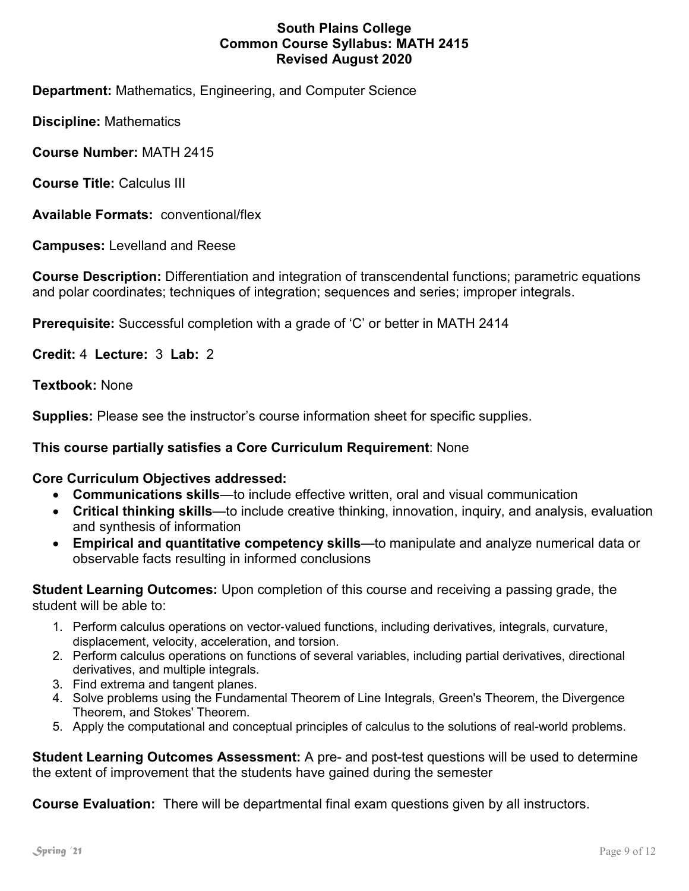## **South Plains College Common Course Syllabus: MATH 2415 Revised August 2020**

**Department:** Mathematics, Engineering, and Computer Science

**Discipline:** Mathematics

**Course Number:** MATH 2415

**Course Title:** Calculus III

**Available Formats:** conventional/flex

**Campuses:** Levelland and Reese

**Course Description:** Differentiation and integration of transcendental functions; parametric equations and polar coordinates; techniques of integration; sequences and series; improper integrals.

**Prerequisite:** Successful completion with a grade of 'C' or better in MATH 2414

**Credit:** 4 **Lecture:** 3 **Lab:** 2

**Textbook:** None

**Supplies:** Please see the instructor's course information sheet for specific supplies.

## **This course partially satisfies a Core Curriculum Requirement**: None

### **Core Curriculum Objectives addressed:**

- **Communications skills**—to include effective written, oral and visual communication
- **Critical thinking skills**—to include creative thinking, innovation, inquiry, and analysis, evaluation and synthesis of information
- **Empirical and quantitative competency skills**—to manipulate and analyze numerical data or observable facts resulting in informed conclusions

**Student Learning Outcomes:** Upon completion of this course and receiving a passing grade, the student will be able to:

- 1. Perform calculus operations on vector‐valued functions, including derivatives, integrals, curvature, displacement, velocity, acceleration, and torsion.
- 2. Perform calculus operations on functions of several variables, including partial derivatives, directional derivatives, and multiple integrals.
- 3. Find extrema and tangent planes.
- 4. Solve problems using the Fundamental Theorem of Line Integrals, Green's Theorem, the Divergence Theorem, and Stokes' Theorem.
- 5. Apply the computational and conceptual principles of calculus to the solutions of real-world problems.

**Student Learning Outcomes Assessment:** A pre- and post-test questions will be used to determine the extent of improvement that the students have gained during the semester

**Course Evaluation:** There will be departmental final exam questions given by all instructors.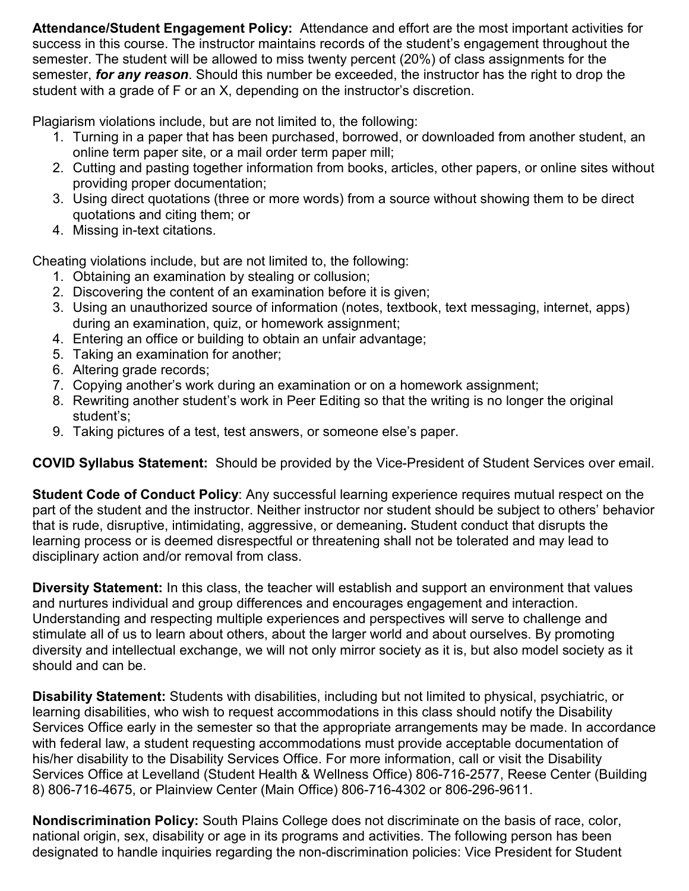**Attendance/Student Engagement Policy:** Attendance and effort are the most important activities for success in this course. The instructor maintains records of the student's engagement throughout the semester. The student will be allowed to miss twenty percent (20%) of class assignments for the semester, *for any reason*. Should this number be exceeded, the instructor has the right to drop the student with a grade of F or an X, depending on the instructor's discretion.

Plagiarism violations include, but are not limited to, the following:

- 1. Turning in a paper that has been purchased, borrowed, or downloaded from another student, an online term paper site, or a mail order term paper mill;
- 2. Cutting and pasting together information from books, articles, other papers, or online sites without providing proper documentation;
- 3. Using direct quotations (three or more words) from a source without showing them to be direct quotations and citing them; or
- 4. Missing in-text citations.

Cheating violations include, but are not limited to, the following:

- 1. Obtaining an examination by stealing or collusion;
- 2. Discovering the content of an examination before it is given;
- 3. Using an unauthorized source of information (notes, textbook, text messaging, internet, apps) during an examination, quiz, or homework assignment;
- 4. Entering an office or building to obtain an unfair advantage;
- 5. Taking an examination for another;
- 6. Altering grade records;
- 7. Copying another's work during an examination or on a homework assignment;
- 8. Rewriting another student's work in Peer Editing so that the writing is no longer the original student's;
- 9. Taking pictures of a test, test answers, or someone else's paper.

**COVID Syllabus Statement:** Should be provided by the Vice-President of Student Services over email.

**Student Code of Conduct Policy**: Any successful learning experience requires mutual respect on the part of the student and the instructor. Neither instructor nor student should be subject to others' behavior that is rude, disruptive, intimidating, aggressive, or demeaning**.** Student conduct that disrupts the learning process or is deemed disrespectful or threatening shall not be tolerated and may lead to disciplinary action and/or removal from class.

**Diversity Statement:** In this class, the teacher will establish and support an environment that values and nurtures individual and group differences and encourages engagement and interaction. Understanding and respecting multiple experiences and perspectives will serve to challenge and stimulate all of us to learn about others, about the larger world and about ourselves. By promoting diversity and intellectual exchange, we will not only mirror society as it is, but also model society as it should and can be.

**Disability Statement:** Students with disabilities, including but not limited to physical, psychiatric, or learning disabilities, who wish to request accommodations in this class should notify the Disability Services Office early in the semester so that the appropriate arrangements may be made. In accordance with federal law, a student requesting accommodations must provide acceptable documentation of his/her disability to the Disability Services Office. For more information, call or visit the Disability Services Office at Levelland (Student Health & Wellness Office) 806-716-2577, Reese Center (Building 8) 806-716-4675, or Plainview Center (Main Office) 806-716-4302 or 806-296-9611.

**Nondiscrimination Policy:** South Plains College does not discriminate on the basis of race, color, national origin, sex, disability or age in its programs and activities. The following person has been designated to handle inquiries regarding the non-discrimination policies: Vice President for Student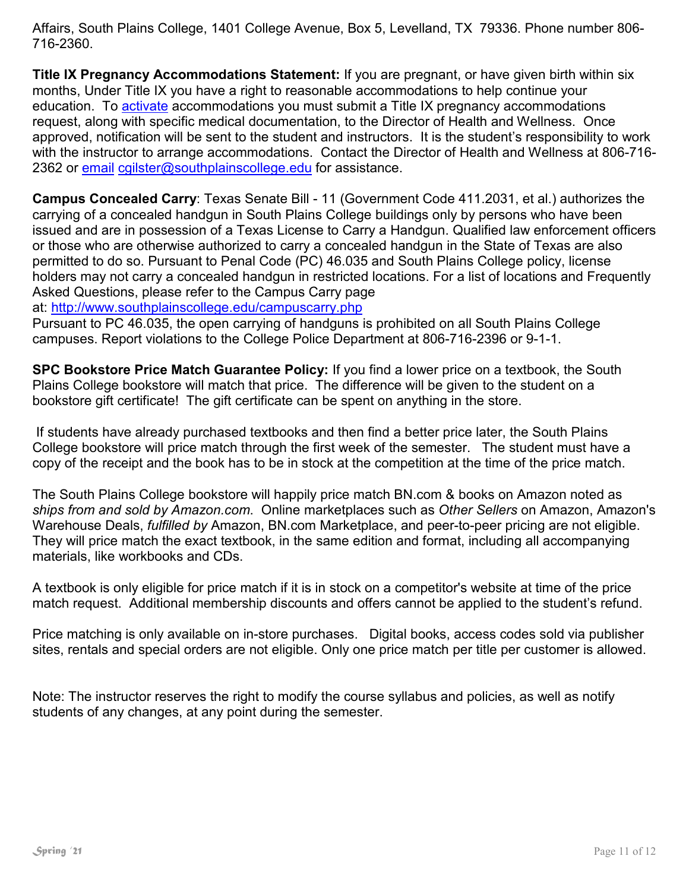Affairs, South Plains College, 1401 College Avenue, Box 5, Levelland, TX 79336. Phone number 806- 716-2360.

**Title IX Pregnancy Accommodations Statement:** If you are pregnant, or have given birth within six months, Under Title IX you have a right to reasonable accommodations to help continue your education. To [activate](http://www.southplainscollege.edu/employees/manualshandbooks/facultyhandbook/sec4.php) accommodations you must submit a Title IX pregnancy accommodations request, along with specific medical documentation, to the Director of Health and Wellness. Once approved, notification will be sent to the student and instructors. It is the student's responsibility to work with the instructor to arrange accommodations. Contact the Director of Health and Wellness at 806-716 2362 or [email](http://www.southplainscollege.edu/employees/manualshandbooks/facultyhandbook/sec4.php) [cgilster@southplainscollege.edu](mailto:cgilster@southplainscollege.edu) for assistance.

**Campus Concealed Carry**: Texas Senate Bill - 11 (Government Code 411.2031, et al.) authorizes the carrying of a concealed handgun in South Plains College buildings only by persons who have been issued and are in possession of a Texas License to Carry a Handgun. Qualified law enforcement officers or those who are otherwise authorized to carry a concealed handgun in the State of Texas are also permitted to do so. Pursuant to Penal Code (PC) 46.035 and South Plains College policy, license holders may not carry a concealed handgun in restricted locations. For a list of locations and Frequently Asked Questions, please refer to the Campus Carry page

at: <http://www.southplainscollege.edu/campuscarry.php>

Pursuant to PC 46.035, the open carrying of handguns is prohibited on all South Plains College campuses. Report violations to the College Police Department at 806-716-2396 or 9-1-1.

**SPC Bookstore Price Match Guarantee Policy:** If you find a lower price on a textbook, the South Plains College bookstore will match that price. The difference will be given to the student on a bookstore gift certificate! The gift certificate can be spent on anything in the store.

If students have already purchased textbooks and then find a better price later, the South Plains College bookstore will price match through the first week of the semester. The student must have a copy of the receipt and the book has to be in stock at the competition at the time of the price match.

The South Plains College bookstore will happily price match BN.com & books on Amazon noted as *ships from and sold by Amazon.com*. Online marketplaces such as *Other Sellers* on Amazon, Amazon's Warehouse Deals, *fulfilled by* Amazon, BN.com Marketplace, and peer-to-peer pricing are not eligible. They will price match the exact textbook, in the same edition and format, including all accompanying materials, like workbooks and CDs.

A textbook is only eligible for price match if it is in stock on a competitor's website at time of the price match request. Additional membership discounts and offers cannot be applied to the student's refund.

Price matching is only available on in-store purchases. Digital books, access codes sold via publisher sites, rentals and special orders are not eligible. Only one price match per title per customer is allowed.

Note: The instructor reserves the right to modify the course syllabus and policies, as well as notify students of any changes, at any point during the semester.